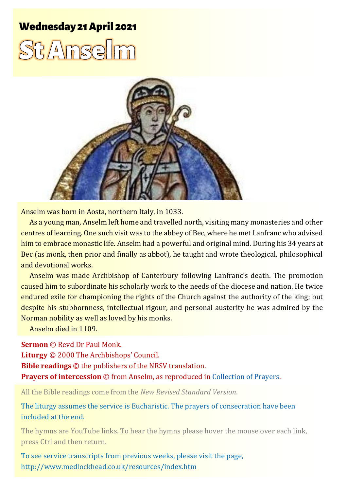## **Wednesday 21 April 2021**





Anselm was born in Aosta, northern Italy, in 1033.

As a young man, Anselm left home and travelled north, visiting many monasteries and other centres of learning. One such visit was to the abbey of Bec, where he met Lanfranc who advised him to embrace monastic life. Anselm had a powerful and original mind. During his 34 years at Bec (as monk, then prior and finally as abbot), he taught and wrote theological, philosophical and devotional works.

Anselm was made Archbishop of Canterbury following Lanfranc's death. The promotion caused him to subordinate his scholarly work to the needs of the diocese and nation. He twice endured exile for championing the rights of the Church against the authority of the king; but despite his stubbornness, intellectual rigour, and personal austerity he was admired by the Norman nobility as well as loved by his monks.

Anselm died in 1109.

**Sermon** © Revd Dr Paul Monk.

**Liturgy** © 2000 The Archbishops' Council.

**Bible readings** © the publishers of the NRSV translation.

**Prayers of intercession** © from Anselm, as reproduced in [Collection of Prayers.](https://acollectionofprayers.com/tag/anselm)

All the Bible readings come from the *New Revised Standard Version*.

The liturgy assumes the service is Eucharistic. The prayers of consecration have been included at the end.

The hymns are YouTube links. To hear the hymns please hover the mouse over each link, press Ctrl and then return.

To see service transcripts from previous weeks, please visit the page, <http://www.medlockhead.co.uk/resources/index.htm>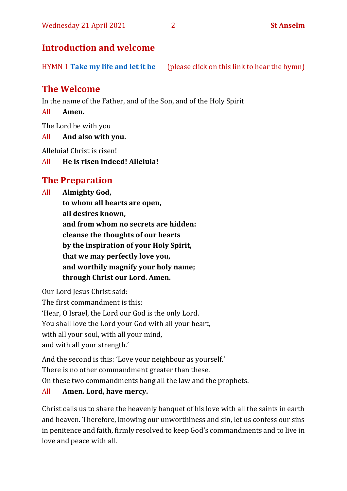## **Introduction and welcome**

HYMN 1 **[Take my life and let it be](https://www.youtube.com/watch?v=Gf11rReeWIs)** (please click on this link to hear the hymn)

## **The Welcome**

In the name of the Father, and of the Son, and of the Holy Spirit

All **Amen.**

The Lord be with you

All **And also with you.**

Alleluia! Christ is risen!

All **He is risen indeed! Alleluia!** 

## **The Preparation**

All **Almighty God, to whom all hearts are open, all desires known, and from whom no secrets are hidden: cleanse the thoughts of our hearts by the inspiration of your Holy Spirit, that we may perfectly love you, and worthily magnify your holy name; through Christ our Lord. Amen.**

Our Lord Jesus Christ said: The first commandment is this: 'Hear, O Israel, the Lord our God is the only Lord. You shall love the Lord your God with all your heart, with all your soul, with all your mind, and with all your strength.'

And the second is this: 'Love your neighbour as yourself.'

There is no other commandment greater than these.

On these two commandments hang all the law and the prophets.

#### All **Amen. Lord, have mercy.**

Christ calls us to share the heavenly banquet of his love with all the saints in earth and heaven. Therefore, knowing our unworthiness and sin, let us confess our sins in penitence and faith, firmly resolved to keep God's commandments and to live in love and peace with all.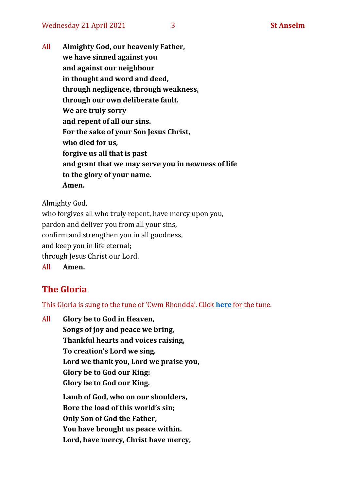All **Almighty God, our heavenly Father, we have sinned against you and against our neighbour in thought and word and deed, through negligence, through weakness, through our own deliberate fault. We are truly sorry and repent of all our sins. For the sake of your Son Jesus Christ, who died for us, forgive us all that is past and grant that we may serve you in newness of life to the glory of your name. Amen.**

Almighty God,

who forgives all who truly repent, have mercy upon you, pardon and deliver you from all your sins, confirm and strengthen you in all goodness, and keep you in life eternal; through Jesus Christ our Lord. All **Amen.**

## **The Gloria**

This Gloria is sung to the tune of 'Cwm Rhondda'. Click **[here](about:blank)** for the tune.

All **Glory be to God in Heaven, Songs of joy and peace we bring, Thankful hearts and voices raising, To creation's Lord we sing. Lord we thank you, Lord we praise you, Glory be to God our King: Glory be to God our King. Lamb of God, who on our shoulders, Bore the load of this world's sin; Only Son of God the Father, You have brought us peace within.**

**Lord, have mercy, Christ have mercy,**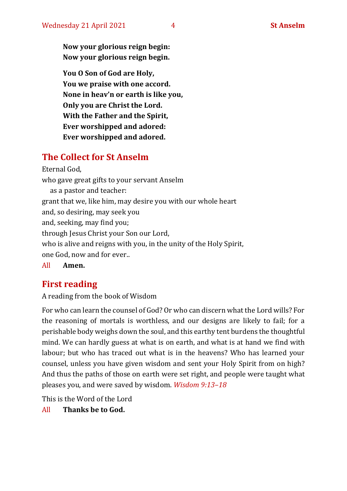**Now your glorious reign begin: Now your glorious reign begin.**

**You O Son of God are Holy, You we praise with one accord. None in heav'n or earth is like you, Only you are Christ the Lord. With the Father and the Spirit, Ever worshipped and adored: Ever worshipped and adored.**

## **The Collect for St Anselm**

Eternal God, who gave great gifts to your servant Anselm as a pastor and teacher: grant that we, like him, may desire you with our whole heart and, so desiring, may seek you and, seeking, may find you; through Jesus Christ your Son our Lord, who is alive and reigns with you, in the unity of the Holy Spirit, one God, now and for ever.. All **Amen.**

## **First reading**

A reading from the book of Wisdom

For who can learn the counsel of God? Or who can discern what the Lord wills? For the reasoning of mortals is worthless, and our designs are likely to fail; for a perishable body weighs down the soul, and this earthy tent burdens the thoughtful mind. We can hardly guess at what is on earth, and what is at hand we find with labour; but who has traced out what is in the heavens? Who has learned your counsel, unless you have given wisdom and sent your Holy Spirit from on high? And thus the paths of those on earth were set right, and people were taught what pleases you, and were saved by wisdom. *Wisdom 9:13–18*

This is the Word of the Lord

All **Thanks be to God.**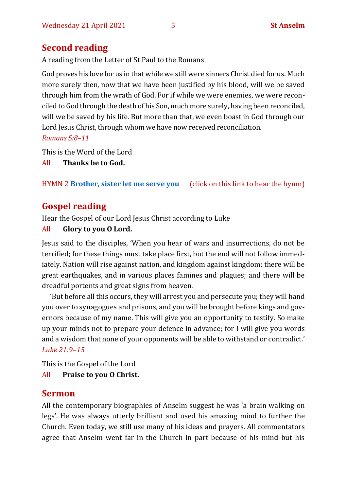## **Second reading**

A reading from the Letter of St Paul to the Romans

God proves his love for us in that while we still were sinners Christ died for us. Much more surely then, now that we have been justified by his blood, will we be saved through him from the wrath of God. For if while we were enemies, we were reconciled to God through the death of his Son, much more surely, having been reconciled, will we be saved by his life. But more than that, we even boast in God through our Lord Jesus Christ, through whom we have now received reconciliation. *Romans 5:8–11*

This is the Word of the Lord

All **Thanks be to God.**

#### HYMN 2 **[Brother, sister let me serve you](https://www.youtube.com/watch?v=hlNoxoOocZs)** (click on this link to hear the hymn)

## **Gospel reading**

Hear the Gospel of our Lord Jesus Christ according to Luke

#### All **Glory to you O Lord.**

Jesus said to the disciples, 'When you hear of wars and insurrections, do not be terrified; for these things must take place first, but the end will not follow immediately. Nation will rise against nation, and kingdom against kingdom; there will be great earthquakes, and in various places famines and plagues; and there will be dreadful portents and great signs from heaven.

'But before all this occurs, they will arrest you and persecute you; they will hand you over to synagogues and prisons, and you will be brought before kings and governors because of my name. This will give you an opportunity to testify. So make up your minds not to prepare your defence in advance; for I will give you words and a wisdom that none of your opponents will be able to withstand or contradict.' *Luke 21:9–15*

This is the Gospel of the Lord

All **Praise to you O Christ.** 

## **Sermon**

All the contemporary biographies of Anselm suggest he was 'a brain walking on legs'. He was always utterly brilliant and used his amazing mind to further the Church. Even today, we still use many of his ideas and prayers. All commentators agree that Anselm went far in the Church in part because of his mind but his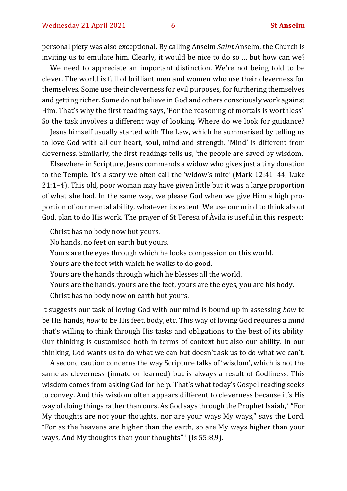personal piety was also exceptional. By calling Anselm *Saint* Anselm, the Church is inviting us to emulate him. Clearly, it would be nice to do so … but how can we?

We need to appreciate an important distinction. We're not being told to be clever. The world is full of brilliant men and women who use their cleverness for themselves. Some use their cleverness for evil purposes, for furthering themselves and getting richer. Some do not believe in God and others consciously work against Him. That's why the first reading says, 'For the reasoning of mortals is worthless'. So the task involves a different way of looking. Where do we look for guidance?

Jesus himself usually started with The Law, which he summarised by telling us to love God with all our heart, soul, mind and strength. 'Mind' is different from cleverness. Similarly, the first readings tells us, 'the people are saved by wisdom.'

Elsewhere in Scripture, Jesus commends a widow who gives just a tiny donation to the Temple. It's a story we often call the 'widow's mite' (Mark 12:41–44, Luke 21:1–4). This old, poor woman may have given little but it was a large proportion of what she had. In the same way, we please God when we give Him a high proportion of our mental ability, whatever its extent. We use our mind to think about God, plan to do His work. The prayer of St Teresa of Àvila is useful in this respect:

Christ has no body now but yours.

No hands, no feet on earth but yours.

Yours are the eyes through which he looks compassion on this world.

Yours are the feet with which he walks to do good.

Yours are the hands through which he blesses all the world.

Yours are the hands, yours are the feet, yours are the eyes, you are his body.

Christ has no body now on earth but yours.

It suggests our task of loving God with our mind is bound up in assessing *how* to be His hands, *how* to be His feet, body, etc. This way of loving God requires a mind that's willing to think through His tasks and obligations to the best of its ability. Our thinking is customised both in terms of context but also our ability. In our thinking, God wants us to do what we can but doesn't ask us to do what we can't.

A second caution concerns the way Scripture talks of 'wisdom', which is not the same as cleverness (innate or learned) but is always a result of Godliness. This wisdom comes from asking God for help. That's what today's Gospel reading seeks to convey. And this wisdom often appears different to cleverness because it's His way of doing things rather than ours. As God says through the Prophet Isaiah, ' "For My thoughts are not your thoughts, nor are your ways My ways," says the Lord. "For as the heavens are higher than the earth, so are My ways higher than your ways, And My thoughts than your thoughts" ' (Is 55:8,9).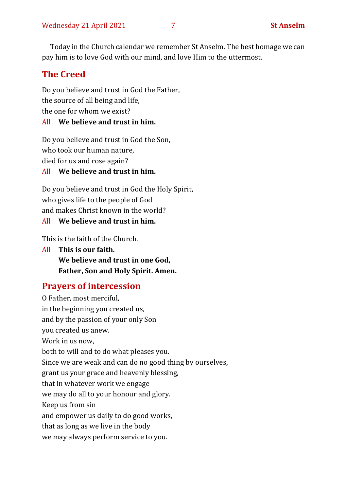Today in the Church calendar we remember St Anselm. The best homage we can pay him is to love God with our mind, and love Him to the uttermost.

## **The Creed**

Do you believe and trust in God the Father, the source of all being and life, the one for whom we exist?

## All **We believe and trust in him.**

Do you believe and trust in God the Son, who took our human nature, died for us and rose again?

All **We believe and trust in him.**

Do you believe and trust in God the Holy Spirit, who gives life to the people of God and makes Christ known in the world?

#### All **We believe and trust in him.**

This is the faith of the Church.

All **This is our faith. We believe and trust in one God, Father, Son and Holy Spirit. Amen.**

## **Prayers of intercession**

O Father, most merciful, in the beginning you created us, and by the passion of your only Son you created us anew. Work in us now, both to will and to do what pleases you. Since we are weak and can do no good thing by ourselves, grant us your grace and heavenly blessing, that in whatever work we engage we may do all to your honour and glory. Keep us from sin and empower us daily to do good works, that as long as we live in the body we may always perform service to you.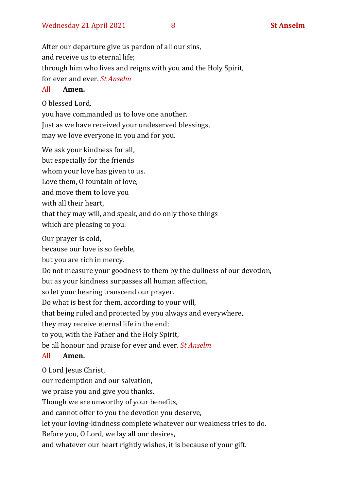After our departure give us pardon of all our sins, and receive us to eternal life; through him who lives and reigns with you and the Holy Spirit, for ever and ever. *St Anselm*

#### All **Amen.**

O blessed Lord,

you have commanded us to love one another. Just as we have received your undeserved blessings, may we love everyone in you and for you.

We ask your kindness for all, but especially for the friends whom your love has given to us. Love them, O fountain of love, and move them to love you with all their heart, that they may will, and speak, and do only those things which are pleasing to you.

Our prayer is cold,

because our love is so feeble,

but you are rich in mercy.

Do not measure your goodness to them by the dullness of our devotion,

but as your kindness surpasses all human affection,

so let your hearing transcend our prayer.

Do what is best for them, according to your will,

that being ruled and protected by you always and everywhere,

they may receive eternal life in the end;

to you, with the Father and the Holy Spirit,

be all honour and praise for ever and ever. *St Anselm*

#### All **Amen.**

O Lord Jesus Christ,

our redemption and our salvation,

we praise you and give you thanks.

Though we are unworthy of your benefits,

and cannot offer to you the devotion you deserve,

let your loving-kindness complete whatever our weakness tries to do.

Before you, O Lord, we lay all our desires,

and whatever our heart rightly wishes, it is because of your gift.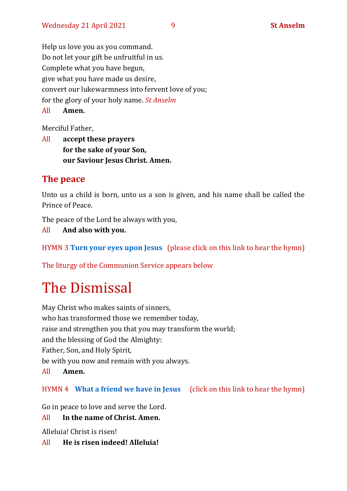Help us love you as you command. Do not let your gift be unfruitful in us. Complete what you have begun, give what you have made us desire, convert our lukewarmness into fervent love of you; for the glory of your holy name. *St Anselm* All **Amen.**

Merciful Father,

All **accept these prayers for the sake of your Son, our Saviour Jesus Christ. Amen.**

### **The peace**

Unto us a child is born, unto us a son is given, and his name shall be called the Prince of Peace.

The peace of the Lord be always with you,

All **And also with you.**

```
HYMN 3 Turn your eyes upon Jesus (please click on this link to hear the hymn)
```
The liturgy of the Communion Service appears below

# The Dismissal

May Christ who makes saints of sinners, who has transformed those we remember today, raise and strengthen you that you may transform the world; and the blessing of God the Almighty: Father, Son, and Holy Spirit, be with you now and remain with you always. All **Amen.**

#### HYMN 4 **[What a friend we have in Jesus](https://www.youtube.com/watch?v=LarFhGeE-ac)** (click on this link to hear the hymn)

Go in peace to love and serve the Lord.

#### All **In the name of Christ. Amen.**

Alleluia! Christ is risen!

All **He is risen indeed! Alleluia!**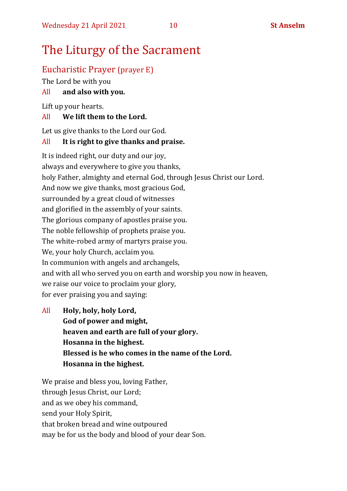## The Liturgy of the Sacrament

## Eucharistic Prayer (prayer E)

The Lord be with you

#### All **and also with you.**

Lift up your hearts.

#### All **We lift them to the Lord.**

Let us give thanks to the Lord our God.

#### All **It is right to give thanks and praise.**

It is indeed right, our duty and our joy, always and everywhere to give you thanks, holy Father, almighty and eternal God, through Jesus Christ our Lord. And now we give thanks, most gracious God, surrounded by a great cloud of witnesses and glorified in the assembly of your saints. The glorious company of apostles praise you. The noble fellowship of prophets praise you. The white-robed army of martyrs praise you. We, your holy Church, acclaim you. In communion with angels and archangels, and with all who served you on earth and worship you now in heaven, we raise our voice to proclaim your glory, for ever praising you and saying:

All **Holy, holy, holy Lord, God of power and might, heaven and earth are full of your glory. Hosanna in the highest. Blessed is he who comes in the name of the Lord. Hosanna in the highest.**

We praise and bless you, loving Father, through Jesus Christ, our Lord; and as we obey his command, send your Holy Spirit, that broken bread and wine outpoured may be for us the body and blood of your dear Son.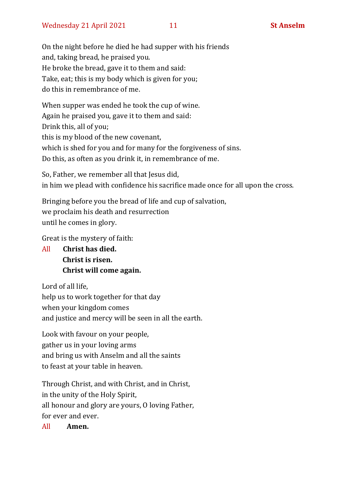On the night before he died he had supper with his friends and, taking bread, he praised you. He broke the bread, gave it to them and said: Take, eat; this is my body which is given for you; do this in remembrance of me.

When supper was ended he took the cup of wine. Again he praised you, gave it to them and said: Drink this, all of you; this is my blood of the new covenant, which is shed for you and for many for the forgiveness of sins. Do this, as often as you drink it, in remembrance of me.

So, Father, we remember all that Jesus did, in him we plead with confidence his sacrifice made once for all upon the cross.

Bringing before you the bread of life and cup of salvation, we proclaim his death and resurrection until he comes in glory.

Great is the mystery of faith:

All **Christ has died. Christ is risen. Christ will come again.**

Lord of all life, help us to work together for that day when your kingdom comes and justice and mercy will be seen in all the earth.

Look with favour on your people, gather us in your loving arms and bring us with Anselm and all the saints to feast at your table in heaven.

Through Christ, and with Christ, and in Christ, in the unity of the Holy Spirit, all honour and glory are yours, O loving Father, for ever and ever.

All **Amen.**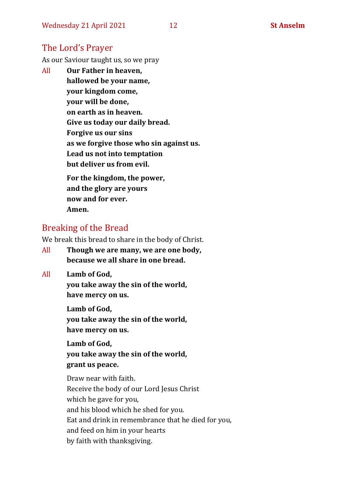## The Lord's Prayer

As our Saviour taught us, so we pray

All **Our Father in heaven, hallowed be your name, your kingdom come, your will be done, on earth as in heaven. Give us today our daily bread. Forgive us our sins as we forgive those who sin against us. Lead us not into temptation but deliver us from evil. For the kingdom, the power,** 

**and the glory are yours now and for ever. Amen.**

## Breaking of the Bread

We break this bread to share in the body of Christ.

- All **Though we are many, we are one body, because we all share in one bread.**
- All **Lamb of God,**

**you take away the sin of the world, have mercy on us.**

**Lamb of God, you take away the sin of the world, have mercy on us.**

**Lamb of God, you take away the sin of the world, grant us peace.**

Draw near with faith. Receive the body of our Lord Jesus Christ which he gave for you, and his blood which he shed for you. Eat and drink in remembrance that he died for you, and feed on him in your hearts by faith with thanksgiving.